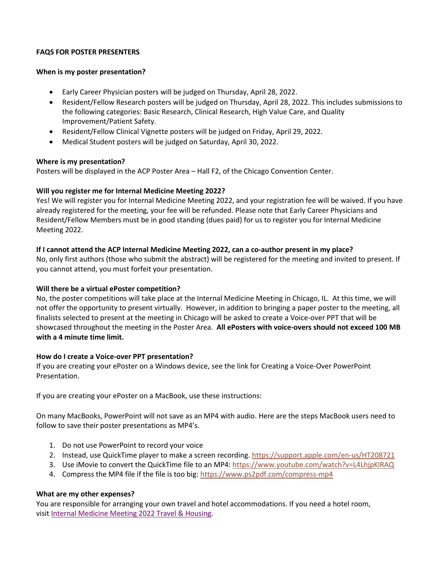# **FAQS FOR POSTER PRESENTERS**

#### **When is my poster presentation?**

- Early Career Physician posters will be judged on Thursday, April 28, 2022.
- Resident/Fellow Research posters will be judged on Thursday, April 28, 2022. This includes submissions to the following categories: Basic Research, Clinical Research, High Value Care, and Quality Improvement/Patient Safety.
- Resident/Fellow Clinical Vignette posters will be judged on Friday, April 29, 2022.
- Medical Student posters will be judged on Saturday, April 30, 2022.

# **Where is my presentation?**

Posters will be displayed in the ACP Poster Area – Hall F2, of the Chicago Convention Center.

# **Will you register me for Internal Medicine Meeting 2022?**

Yes! We will register you for Internal Medicine Meeting 2022, and your registration fee will be waived. If you have already registered for the meeting, your fee will be refunded. Please note that Early Career Physicians and Resident/Fellow Members must be in good standing (dues paid) for us to register you for Internal Medicine Meeting 2022.

# **If I cannot attend the ACP Internal Medicine Meeting 2022, can a co-author present in my place?**

No, only first authors (those who submit the abstract) will be registered for the meeting and invited to present. If you cannot attend, you must forfeit your presentation.

# **Will there be a virtual ePoster competition?**

No, the poster competitions will take place at the Internal Medicine Meeting in Chicago, IL. At this time, we will not offer the opportunity to present virtually. However, in addition to bringing a paper poster to the meeting, all finalists selected to present at the meeting in Chicago will be asked to create a Voice-over PPT that will be showcased throughout the meeting in the Poster Area. **All ePosters with voice-overs should not exceed 100 MB with a 4 minute time limit.**

# **How do I create a Voice-over PPT presentation?**

If you are creating your ePoster on a Windows device, see the link for Creating a Voice-Over PowerPoint Presentation.

If you are creating your ePoster on a MacBook, use these instructions:

On many MacBooks, PowerPoint will not save as an MP4 with audio. Here are the steps MacBook users need to follow to save their poster presentations as MP4's.

- 1. Do not use PowerPoint to record your voice
- 2. Instead, use QuickTime player to make a screen recording. <https://support.apple.com/en-us/HT208721>
- 3. Use iMovie to convert the QuickTime file to an MP4: <https://www.youtube.com/watch?v=L4LhjpKlRAQ>
- 4. Compress the MP4 file if the file is too big: <https://www.ps2pdf.com/compress-mp4>

# **What are my other expenses?**

You are responsible for arranging your own travel and hotel accommodations. If you need a hotel room, visit [Internal Medicine Meeting 2022](https://annualmeeting.acponline.org/registration/hotel-travel) Travel & Housing.